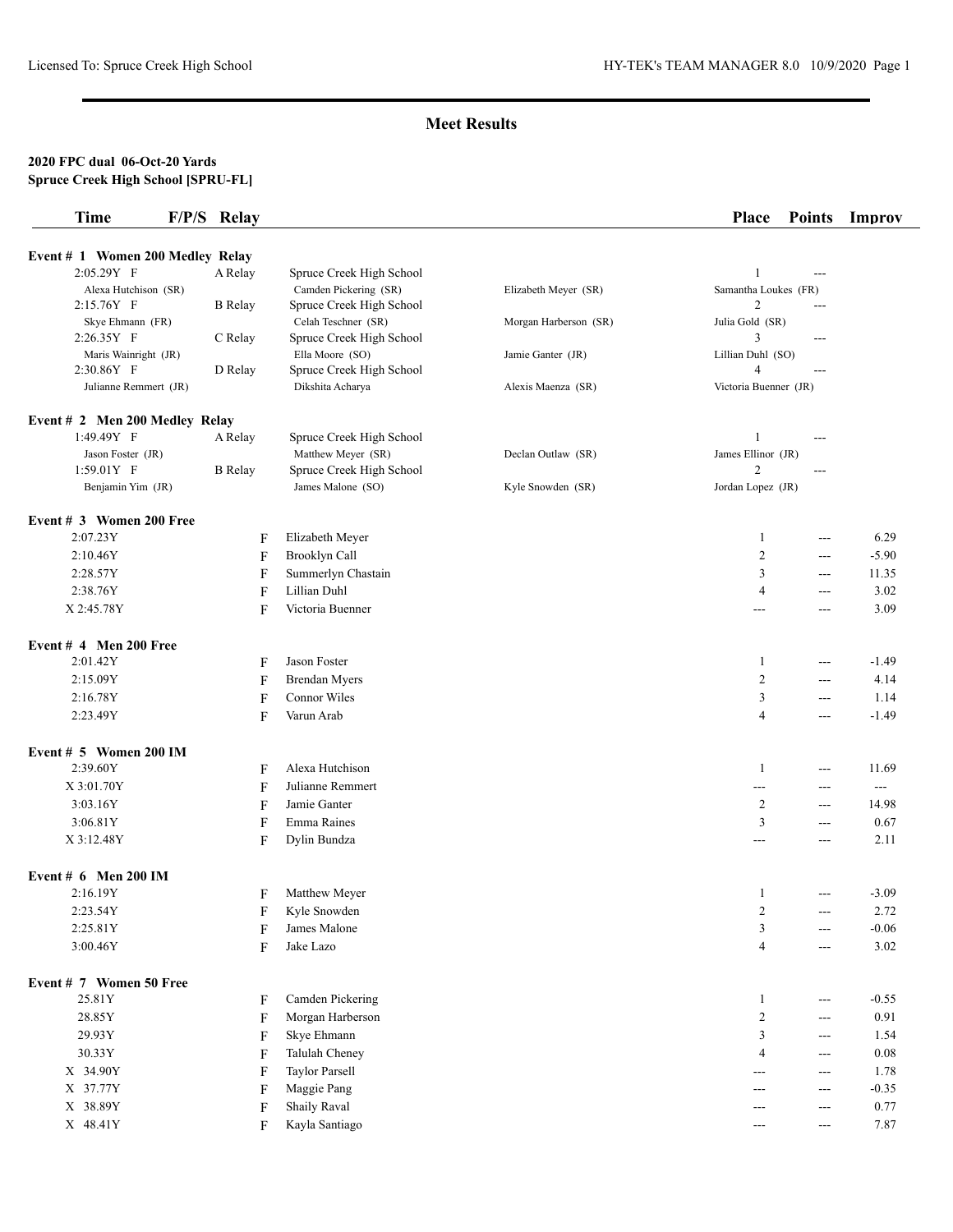## **Meet Results**

#### **2020 FPC dual 06-Oct-20 Yards Spruce Creek High School [SPRU-FL]**

| <b>Time</b>                        | F/P/S Relay    |                                                   |                       | <b>Place</b>                         | <b>Points</b> | Improv         |
|------------------------------------|----------------|---------------------------------------------------|-----------------------|--------------------------------------|---------------|----------------|
|                                    |                |                                                   |                       |                                      |               |                |
| Event # 1 Women 200 Medley Relay   |                |                                                   |                       |                                      |               |                |
| 2:05.29Y F<br>Alexa Hutchison (SR) | A Relay        | Spruce Creek High School<br>Camden Pickering (SR) |                       | $\mathbf{1}$<br>Samantha Loukes (FR) | $---$         |                |
| $2:15.76Y$ F                       | <b>B</b> Relay | Spruce Creek High School                          | Elizabeth Meyer (SR)  | $\overline{c}$                       | ---           |                |
| Skye Ehmann (FR)                   |                | Celah Teschner (SR)                               | Morgan Harberson (SR) | Julia Gold (SR)                      |               |                |
| 2:26.35Y F                         | C Relay        | Spruce Creek High School                          |                       | 3                                    | ---           |                |
| Maris Wainright (JR)               |                | Ella Moore (SO)                                   | Jamie Ganter (JR)     | Lillian Duhl (SO)                    |               |                |
| 2:30.86Y F                         | D Relay        | Spruce Creek High School                          |                       | $\overline{4}$                       | ---           |                |
| Julianne Remmert (JR)              |                | Dikshita Acharya                                  | Alexis Maenza (SR)    | Victoria Buenner (JR)                |               |                |
| Event # 2 Men 200 Medley Relay     |                |                                                   |                       |                                      |               |                |
| 1:49.49Y F                         | A Relay        | Spruce Creek High School                          |                       | 1                                    | ---           |                |
| Jason Foster (JR)                  |                | Matthew Meyer (SR)                                | Declan Outlaw (SR)    | James Ellinor (JR)                   |               |                |
| $1:59.01Y$ F                       | <b>B</b> Relay | Spruce Creek High School                          |                       | 2                                    | ---           |                |
| Benjamin Yim (JR)                  |                | James Malone (SO)                                 | Kyle Snowden (SR)     | Jordan Lopez (JR)                    |               |                |
| Event # 3 Women 200 Free           |                |                                                   |                       |                                      |               |                |
| 2:07.23Y                           | F              | Elizabeth Meyer                                   |                       | 1                                    | $---$         | 6.29           |
| 2:10.46Y                           | F              | Brooklyn Call                                     |                       | $\overline{2}$                       | ---           | $-5.90$        |
| 2:28.57Y                           | F              | Summerlyn Chastain                                |                       | 3                                    | ---           | 11.35          |
| 2:38.76Y                           | F              | Lillian Duhl                                      |                       | 4                                    | ---           | 3.02           |
| X 2:45.78Y                         | F              | Victoria Buenner                                  |                       | ---                                  | ---           | 3.09           |
| Event $#$ 4 Men 200 Free           |                |                                                   |                       |                                      |               |                |
| 2:01.42Y                           | F              | Jason Foster                                      |                       | 1                                    | ---           | $-1.49$        |
| 2:15.09Y                           | F              | <b>Brendan Myers</b>                              |                       | 2                                    | ---           | 4.14           |
| 2:16.78Y                           | F              | Connor Wiles                                      |                       | 3                                    | ---           | 1.14           |
| 2:23.49Y                           | F              | Varun Arab                                        |                       | $\overline{4}$                       | ---           | $-1.49$        |
| Event $# 5$ Women 200 IM           |                |                                                   |                       |                                      |               |                |
| 2:39.60Y                           | F              | Alexa Hutchison                                   |                       | 1                                    | ---           | 11.69          |
| X 3:01.70Y                         | F              | Julianne Remmert                                  |                       | ---                                  | ---           | $\overline{a}$ |
| 3:03.16Y                           | F              | Jamie Ganter                                      |                       | $\overline{c}$                       | ---           | 14.98          |
| 3:06.81Y                           | F              | Emma Raines                                       |                       | 3                                    | ---           | 0.67           |
| X 3:12.48Y                         | F              | Dylin Bundza                                      |                       | ---                                  | ---           | 2.11           |
| Event $# 6$ Men 200 IM             |                |                                                   |                       |                                      |               |                |
| 2:16.19Y                           | F              | Matthew Meyer                                     |                       | 1                                    | ---           | $-3.09$        |
| 2:23.54Y                           | $\mathbf F$    | Kyle Snowden                                      |                       | $\overline{\mathbf{c}}$              | ---           | 2.72           |
| 2:25.81Y                           | F              | James Malone                                      |                       | $\mathfrak{Z}$                       | ---           | $-0.06$        |
| 3:00.46Y                           | F              | Jake Lazo                                         |                       | $\overline{4}$                       | $---$         | 3.02           |
| Event # 7 Women 50 Free            |                |                                                   |                       |                                      |               |                |
| 25.81Y                             | F              | Camden Pickering                                  |                       | $\mathbf{1}$                         | $---$         | $-0.55$        |
| 28.85Y                             | F              | Morgan Harberson                                  |                       | $\mathbf{2}$                         | ---           | 0.91           |
| 29.93Y                             | F              | Skye Ehmann                                       |                       | 3                                    | ---           | 1.54           |
| 30.33Y                             | F              | Talulah Cheney                                    |                       | 4                                    | ---           | 0.08           |
| X 34.90Y                           | F              | <b>Taylor Parsell</b>                             |                       | ---                                  | ---           | 1.78           |
| X 37.77Y                           | F              | Maggie Pang                                       |                       | ---                                  | ---           | $-0.35$        |
| X 38.89Y                           | F              | <b>Shaily Raval</b>                               |                       | ---                                  | ---           | 0.77           |
| X 48.41Y                           | F              | Kayla Santiago                                    |                       | ---                                  | $---$         | 7.87           |
|                                    |                |                                                   |                       |                                      |               |                |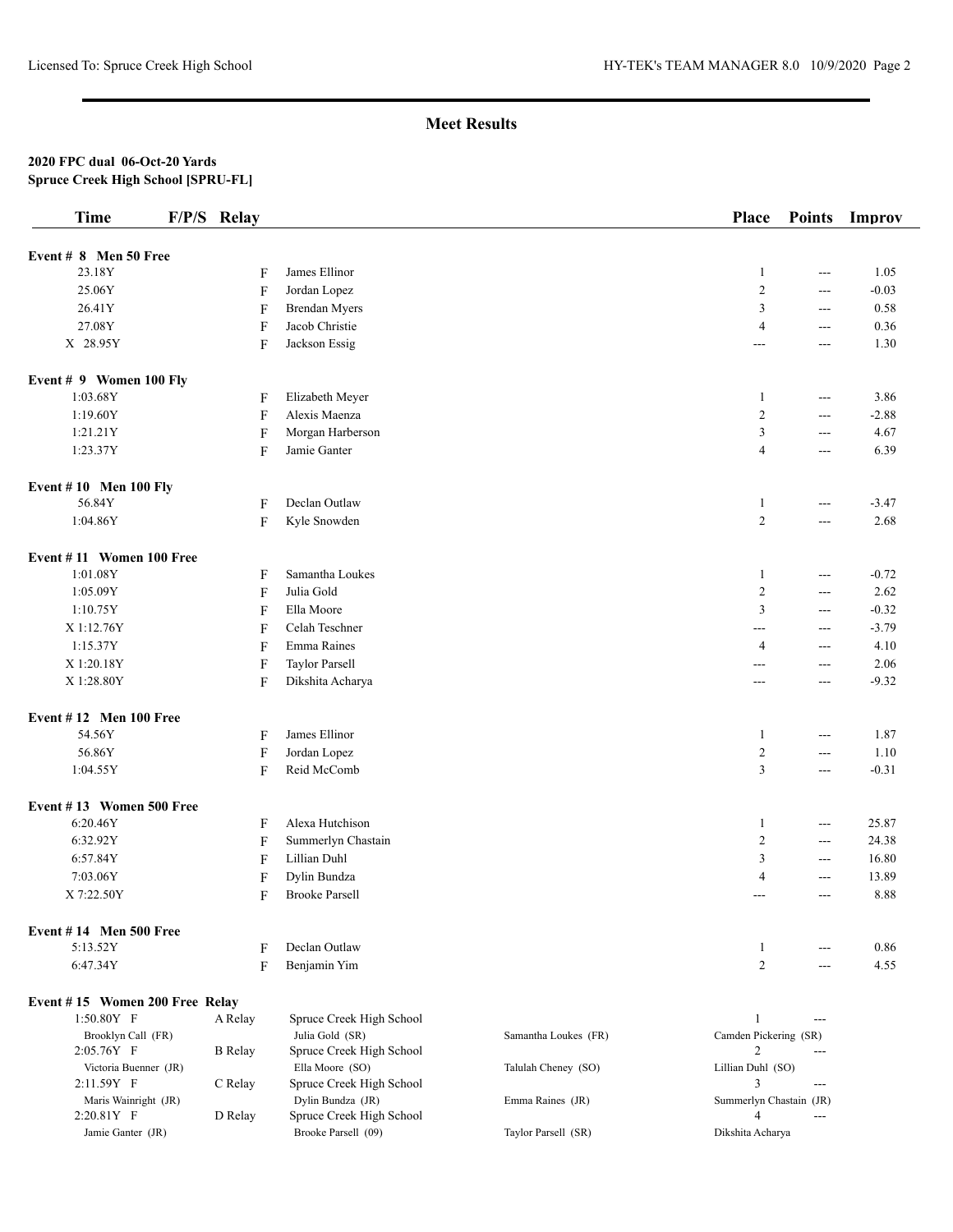# **Meet Results**

#### **2020 FPC dual 06-Oct-20 Yards Spruce Creek High School [SPRU-FL]**

| <b>Time</b>                         | F/P/S Relay |                           |                                               |                      | <b>Place</b>            | <b>Points</b>  | Improv  |
|-------------------------------------|-------------|---------------------------|-----------------------------------------------|----------------------|-------------------------|----------------|---------|
| Event # 8 Men 50 Free               |             |                           |                                               |                      |                         |                |         |
| 23.18Y                              |             | F                         | James Ellinor                                 |                      | $\mathbf{1}$            | ---            | 1.05    |
| 25.06Y                              |             | F                         | Jordan Lopez                                  |                      | $\overline{2}$          | ---            | $-0.03$ |
| 26.41Y                              |             | F                         | <b>Brendan Myers</b>                          |                      | 3                       | ---            | 0.58    |
| 27.08Y                              |             | $\mathbf F$               | Jacob Christie                                |                      | 4                       | ---            | 0.36    |
| X 28.95Y                            |             | F                         | Jackson Essig                                 |                      | ---                     | ---            | 1.30    |
| Event # 9 Women 100 Fly             |             |                           |                                               |                      |                         |                |         |
| 1:03.68Y                            |             | F                         | Elizabeth Meyer                               |                      | $\mathbf{1}$            | ---            | 3.86    |
| 1:19.60Y                            |             | $\mathbf F$               | Alexis Maenza                                 |                      | $\sqrt{2}$              | ---            | $-2.88$ |
| 1:21.21Y                            |             | $\mathbf F$               | Morgan Harberson                              |                      | $\mathfrak{Z}$          | ---            | 4.67    |
| 1:23.37Y                            |             | F                         | Jamie Ganter                                  |                      | $\overline{4}$          | ---            | 6.39    |
| <b>Event #10 Men 100 Fly</b>        |             |                           |                                               |                      |                         |                |         |
| 56.84Y                              |             | $\mathbf F$               | Declan Outlaw                                 |                      | $\mathbf{1}$            | $---$          | $-3.47$ |
| 1:04.86Y                            |             | $\mathbf F$               | Kyle Snowden                                  |                      | $\overline{2}$          | ---            | 2.68    |
| Event #11 Women 100 Free            |             |                           |                                               |                      |                         |                |         |
| 1:01.08Y                            |             | F                         | Samantha Loukes                               |                      | $\mathbf{1}$            | $\cdots$       | $-0.72$ |
| 1:05.09Y                            |             | $\boldsymbol{\mathrm{F}}$ | Julia Gold                                    |                      | $\overline{2}$          | $\overline{a}$ | 2.62    |
| 1:10.75Y                            |             | $\mathbf F$               | Ella Moore                                    |                      | $\mathfrak{Z}$          | $\overline{a}$ | $-0.32$ |
| X 1:12.76Y                          |             | F                         | Celah Teschner                                |                      | ---                     | ---            | $-3.79$ |
| 1:15.37Y                            |             | F                         | Emma Raines                                   |                      | 4                       | $\overline{a}$ | 4.10    |
| X 1:20.18Y                          |             | F                         | <b>Taylor Parsell</b>                         |                      | ---                     | ---            | 2.06    |
| X 1:28.80Y                          |             | F                         | Dikshita Acharya                              |                      | ---                     | ---            | $-9.32$ |
| Event $#12$ Men 100 Free            |             |                           |                                               |                      |                         |                |         |
| 54.56Y                              |             | F                         | James Ellinor                                 |                      | $\mathbf{1}$            | ---            | 1.87    |
| 56.86Y                              |             | $\mathbf F$               | Jordan Lopez                                  |                      | $\overline{2}$          | ---            | 1.10    |
| 1:04.55Y                            |             | F                         | Reid McComb                                   |                      | $\mathfrak{Z}$          | ---            | $-0.31$ |
| Event #13 Women 500 Free            |             |                           |                                               |                      |                         |                |         |
| 6:20.46Y                            |             | F                         | Alexa Hutchison                               |                      | $\mathbf{1}$            | $\cdots$       | 25.87   |
| 6:32.92Y                            |             | F                         | Summerlyn Chastain                            |                      | 2                       | ---            | 24.38   |
| 6:57.84Y                            |             | F                         | Lillian Duhl                                  |                      | 3                       | $---$          | 16.80   |
| 7:03.06Y                            |             | F                         | Dylin Bundza                                  |                      | 4                       | ---            | 13.89   |
| X 7:22.50Y                          |             | F                         | <b>Brooke Parsell</b>                         |                      | $---$                   | ---            | 8.88    |
| <b>Event #14 Men 500 Free</b>       |             |                           |                                               |                      |                         |                |         |
| 5:13.52Y                            |             | F                         | Declan Outlaw                                 |                      | 1                       | ---            | 0.86    |
| 6:47.34Y                            |             | F                         | Benjamin Yim                                  |                      | $\overline{2}$          | ---            | 4.55    |
| Event #15 Women 200 Free Relay      |             |                           |                                               |                      |                         |                |         |
| $1:50.80Y$ F                        |             | A Relay                   | Spruce Creek High School                      |                      | $\mathbf{1}$            | $\overline{a}$ |         |
| Brooklyn Call (FR)                  |             |                           | Julia Gold (SR)                               | Samantha Loukes (FR) | Camden Pickering (SR)   |                |         |
| 2:05.76Y F                          |             | <b>B</b> Relay            | Spruce Creek High School                      |                      | 2                       | $\overline{a}$ |         |
| Victoria Buenner (JR)<br>2:11.59Y F |             |                           | Ella Moore (SO)                               | Talulah Cheney (SO)  | Lillian Duhl (SO)<br>3  | ---            |         |
| Maris Wainright (JR)                |             | C Relay                   | Spruce Creek High School<br>Dylin Bundza (JR) | Emma Raines (JR)     | Summerlyn Chastain (JR) |                |         |
| 2:20.81Y F                          |             | D Relay                   | Spruce Creek High School                      |                      | $\overline{4}$          | $---$          |         |
| Jamie Ganter (JR)                   |             |                           | Brooke Parsell (09)                           | Taylor Parsell (SR)  | Dikshita Acharya        |                |         |